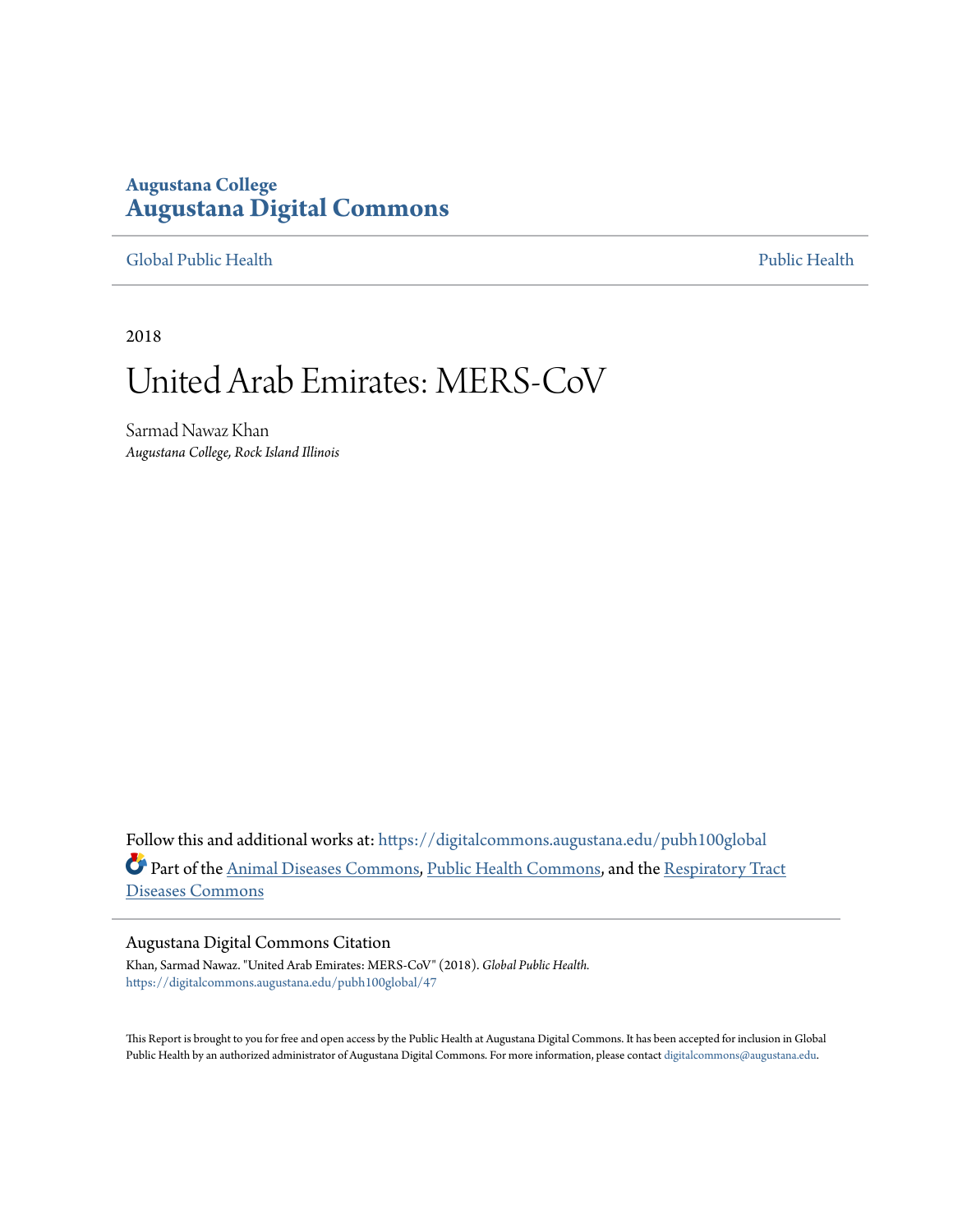# **Augustana College [Augustana Digital Commons](https://digitalcommons.augustana.edu?utm_source=digitalcommons.augustana.edu%2Fpubh100global%2F47&utm_medium=PDF&utm_campaign=PDFCoverPages)**

### [Global Public Health](https://digitalcommons.augustana.edu/pubh100global?utm_source=digitalcommons.augustana.edu%2Fpubh100global%2F47&utm_medium=PDF&utm_campaign=PDFCoverPages) [Public Health](https://digitalcommons.augustana.edu/publichealth?utm_source=digitalcommons.augustana.edu%2Fpubh100global%2F47&utm_medium=PDF&utm_campaign=PDFCoverPages)

2018

# United Arab Emirates: MERS-CoV

Sarmad Nawaz Khan *Augustana College, Rock Island Illinois*

Follow this and additional works at: [https://digitalcommons.augustana.edu/pubh100global](https://digitalcommons.augustana.edu/pubh100global?utm_source=digitalcommons.augustana.edu%2Fpubh100global%2F47&utm_medium=PDF&utm_campaign=PDFCoverPages) Part of the [Animal Diseases Commons,](http://network.bepress.com/hgg/discipline/918?utm_source=digitalcommons.augustana.edu%2Fpubh100global%2F47&utm_medium=PDF&utm_campaign=PDFCoverPages) [Public Health Commons](http://network.bepress.com/hgg/discipline/738?utm_source=digitalcommons.augustana.edu%2Fpubh100global%2F47&utm_medium=PDF&utm_campaign=PDFCoverPages), and the [Respiratory Tract](http://network.bepress.com/hgg/discipline/990?utm_source=digitalcommons.augustana.edu%2Fpubh100global%2F47&utm_medium=PDF&utm_campaign=PDFCoverPages) [Diseases Commons](http://network.bepress.com/hgg/discipline/990?utm_source=digitalcommons.augustana.edu%2Fpubh100global%2F47&utm_medium=PDF&utm_campaign=PDFCoverPages)

#### Augustana Digital Commons Citation

Khan, Sarmad Nawaz. "United Arab Emirates: MERS-CoV" (2018). *Global Public Health.* [https://digitalcommons.augustana.edu/pubh100global/47](https://digitalcommons.augustana.edu/pubh100global/47?utm_source=digitalcommons.augustana.edu%2Fpubh100global%2F47&utm_medium=PDF&utm_campaign=PDFCoverPages)

This Report is brought to you for free and open access by the Public Health at Augustana Digital Commons. It has been accepted for inclusion in Global Public Health by an authorized administrator of Augustana Digital Commons. For more information, please contact [digitalcommons@augustana.edu.](mailto:digitalcommons@augustana.edu)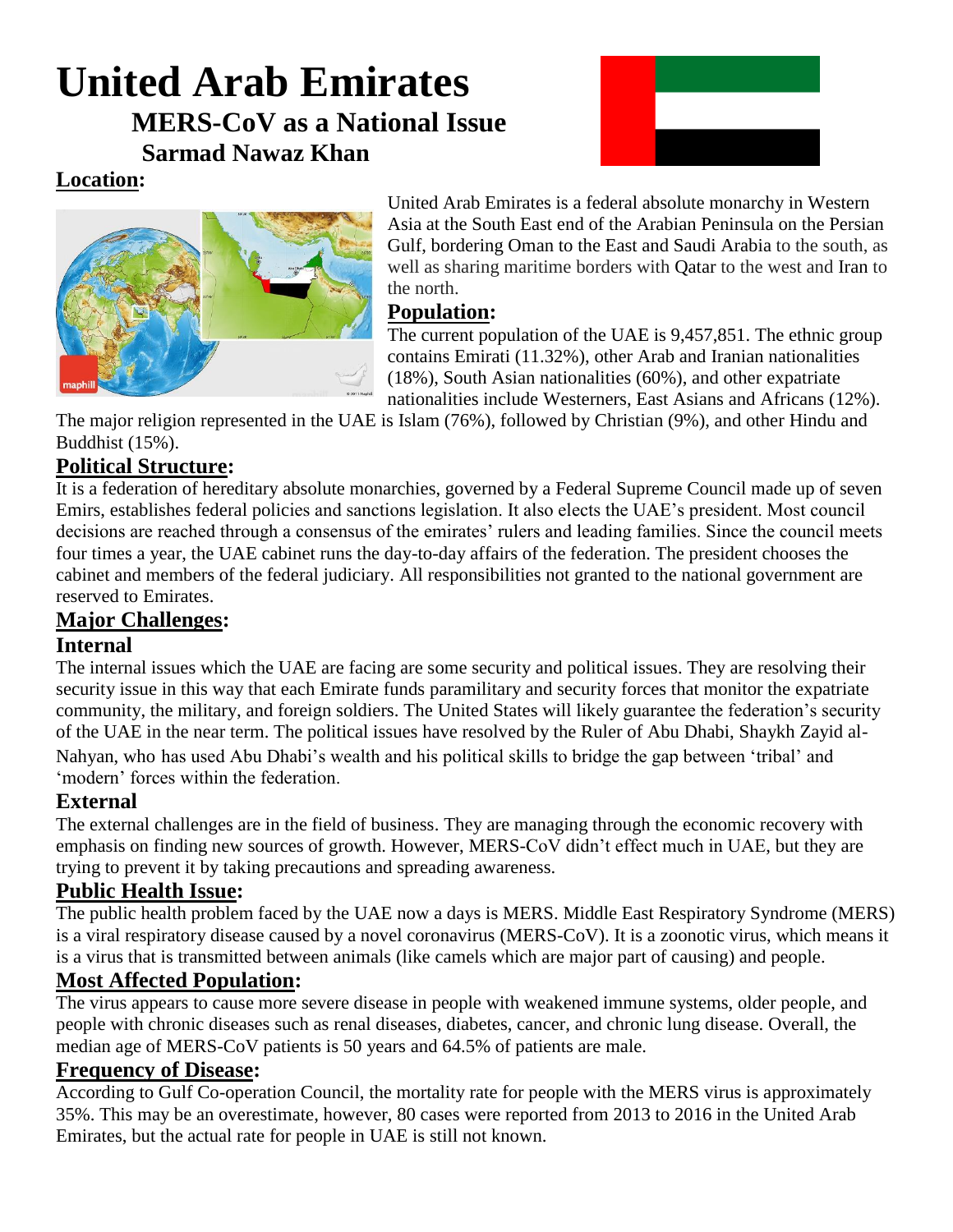# **United Arab Emirates MERS-CoV as a National Issue Sarmad Nawaz Khan**



# **Location:**



United Arab Emirates is a federal absolute monarchy in Western Asia at the South East end of the Arabian Peninsula on the Persian Gulf, bordering Oman to the East and Saudi Arabia to the south, as well as sharing maritime borders with [Qatar](https://en.wikipedia.org/wiki/Qatar) to the west and [Iran](https://en.wikipedia.org/wiki/Iran) to the north.

# **Population:**

The current population of the UAE is 9,457,851. The ethnic group contains Emirati (11.32%), other Arab and Iranian nationalities (18%), South Asian nationalities (60%), and other expatriate nationalities include Westerners, East Asians and Africans (12%).

The major religion represented in the UAE is Islam (76%), followed by Christian (9%), and other Hindu and Buddhist (15%).

# **Political Structure:**

It is a federation of hereditary absolute monarchies, governed by a Federal Supreme Council made up of seven Emirs, establishes federal policies and sanctions legislation. It also elects the UAE's president. Most council decisions are reached through a consensus of the emirates' rulers and leading families. Since the council meets four times a year, the UAE cabinet runs the day-to-day affairs of the federation. The president chooses the cabinet and members of the federal judiciary. All responsibilities not granted to the national government are reserved to Emirates.

# **Major Challenges:**

# **Internal**

The internal issues which the UAE are facing are some security and political issues. They are resolving their security issue in this way that each Emirate funds paramilitary and security forces that monitor the expatriate community, the military, and foreign soldiers. The United States will likely guarantee the federation's security of the UAE in the near term. The political issues have resolved by the Ruler of Abu Dhabi, Shaykh Zayid al-Nahyan, who has used Abu Dhabi's wealth and his political skills to bridge the gap between 'tribal' and 'modern' forces within the federation.

# **External**

The external challenges are in the field of business. They are managing through the economic recovery with emphasis on finding new sources of growth. However, MERS-CoV didn't effect much in UAE, but they are trying to prevent it by taking precautions and spreading awareness.

# **Public Health Issue:**

The public health problem faced by the UAE now a days is MERS. Middle East Respiratory Syndrome (MERS) is a viral respiratory disease caused by a novel coronavirus (MERS-CoV). It is a zoonotic virus, which means it is a virus that is transmitted between animals (like camels which are major part of causing) and people.

# **Most Affected Population:**

The virus appears to cause more severe disease in people with weakened immune systems, older people, and people with chronic diseases such as renal diseases, diabetes, cancer, and chronic lung disease. Overall, the median age of MERS-CoV patients is 50 years and 64.5% of patients are male.

# **Frequency of Disease:**

According to Gulf Co-operation Council, the mortality rate for people with the MERS virus is approximately 35%. This may be an overestimate, however, 80 cases were reported from 2013 to 2016 in the United Arab Emirates, but the actual rate for people in UAE is still not known.